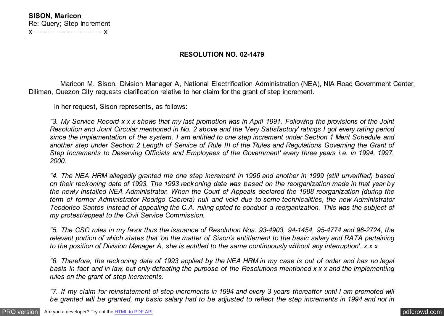## **RESOLUTION NO. 02-1479**

 Maricon M. Sison, Division Manager A, National Electrification Administration (NEA), NIA Road Government Center, Diliman, Quezon City requests clarification relative to her claim for the grant of step increment.

In her request, Sison represents, as follows:

*"3. My Service Record x x x shows that my last promotion was in April 1991. Following the provisions of the Joint Resolution and Joint Circular mentioned in No. 2 above and the 'Very Satisfactory' ratings I got every rating period since the implementation of the system, I am entitled to one step increment under Section 1 Merit Schedule and another step under Section 2 Length of Service of Rule III of the 'Rules and Regulations Governing the Grant of Step Increments to Deserving Officials and Employees of the Government' every three years i.e. in 1994, 1997, 2000.*

*"4. The NEA HRM allegedly granted me one step increment in 1996 and another in 1999 (still unverified) based on their reckoning date of 1993. The 1993 reckoning date was based on the reorganization made in that year by the newly installed NEA Administrator. When the Court of Appeals declared the 1988 reorganization (during the term of former Administrator Rodrigo Cabrera) null and void due to some technicalities, the new Administrator Teodorico Santos instead of appealing the C.A. ruling opted to conduct a reorganization. This was the subject of my protest/appeal to the Civil Service Commission.*

*"5. The CSC rules in my favor thus the issuance of Resolution Nos. 93-4903, 94-1454, 95-4774 and 96-2724, the relevant portion of which states that 'on the matter of Sison's entitlement to the basic salary and RATA pertaining to the position of Division Manager A, she is entitled to the same continuously without any interruption'. x x x*

*"6. Therefore, the reckoning date of 1993 applied by the NEA HRM in my case is out of order and has no legal basis in fact and in law, but only defeating the purpose of the Resolutions mentioned x x x and the implementing rules on the grant of step increments.*

*"7. If my claim for reinstatement of step increments in 1994 and every 3 years thereafter until I am promoted will be granted will be granted, my basic salary had to be adjusted to reflect the step increments in 1994 and not in*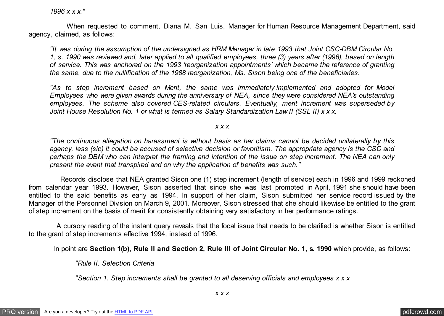*1996 x x x."*

 When requested to comment, Diana M. San Luis, Manager for Human Resource Management Department, said agency, claimed, as follows:

*"It was during the assumption of the undersigned as HRM Manager in late 1993 that Joint CSC-DBM Circular No. 1, s. 1990 was reviewed and, later applied to all qualified employees, three (3) years after (1996), based on length of service. This was anchored on the 1993 'reorganization appointments' which became the reference of granting the same, due to the nullification of the 1988 reorganization, Ms. Sison being one of the beneficiaries.*

*"As to step increment based on Merit, the same was immediately implemented and adopted for Model Employees who were given awards during the anniversary of NEA, since they were considered NEA's outstanding employees. The scheme also covered CES-related circulars. Eventually, merit increment was superseded by Joint House Resolution No. 1 or what is termed as Salary Standardization Law II (SSL II) x x x.*

*x x x*

*"The continuous allegation on harassment is without basis as her claims cannot be decided unilaterally by this agency, less (sic) it could be accused of selective decision or favoritism. The appropriate agency is the CSC and perhaps the DBM who can interpret the framing and intention of the issue on step increment. The NEA can only present the event that transpired and on why the application of benefits was such."*

 Records disclose that NEA granted Sison one (1) step increment (length of service) each in 1996 and 1999 reckoned from calendar year 1993. However, Sison asserted that since she was last promoted in April, 1991 she should have been entitled to the said benefits as early as 1994. In support of her claim, Sison submitted her service record issued by the Manager of the Personnel Division on March 9, 2001. Moreover, Sison stressed that she should likewise be entitled to the grant of step increment on the basis of merit for consistently obtaining very satisfactory in her performance ratings.

 A cursory reading of the instant query reveals that the focal issue that needs to be clarified is whether Sison is entitled to the grant of step increments effective 1994, instead of 1996.

In point are **Section 1(b), Rule II and Section 2, Rule III of Joint Circular No. 1, s. 1990** which provide, as follows:

 *"Rule II. Selection Criteria*

 *"Section 1. Step increments shall be granted to all deserving officials and employees x x x*

*x x x*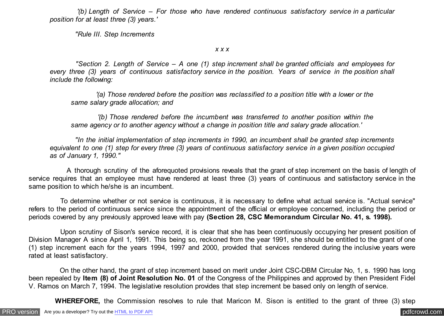*'(b) Length of Service – For those who have rendered continuous satisfactory service in a particular position for at least three (3) years.'*

 *"Rule III. Step Increments*

*x x x*

 *"Section 2. Length of Service – A one (1) step increment shall be granted officials and employees for every three (3) years of continuous satisfactory service in the position. Years of service in the position shall include the following:*

 *'(a) Those rendered before the position was reclassified to a position title with a lower or the same salary grade allocation; and*

 *'(b) Those rendered before the incumbent was transferred to another position within the same agency or to another agency without a change in position title and salary grade allocation.'*

 *"In the initial implementation of step increments in 1990, an incumbent shall be granted step increments equivalent to one (1) step for every three (3) years of continuous satisfactory service in a given position occupied as of January 1, 1990."*

 A thorough scrutiny of the aforequoted provisions reveals that the grant of step increment on the basis of length of service requires that an employee must have rendered at least three (3) years of continuous and satisfactory service in the same position to which he/she is an incumbent.

 To determine whether or not service is continuous, it is necessary to define what actual service is. "Actual service" refers to the period of continuous service since the appointment of the official or employee concerned, including the period or periods covered by any previously approved leave with pay **(Section 28, CSC Memorandum Circular No. 41, s. 1998).**

 Upon scrutiny of Sison's service record, it is clear that she has been continuously occupying her present position of Division Manager A since April 1, 1991. This being so, reckoned from the year 1991, she should be entitled to the grant of one (1) step increment each for the years 1994, 1997 and 2000, provided that services rendered during the inclusive years were rated at least satisfactory.

 On the other hand, the grant of step increment based on merit under Joint CSC-DBM Circular No, 1, s. 1990 has long been repealed by **Item (8) of Joint Resolution No. 01** of the Congress of the Philippines and approved by then President Fidel V. Ramos on March 7, 1994. The legislative resolution provides that step increment be based only on length of service.

 **WHEREFORE,** the Commission resolves to rule that Maricon M. Sison is entitled to the grant of three (3) step